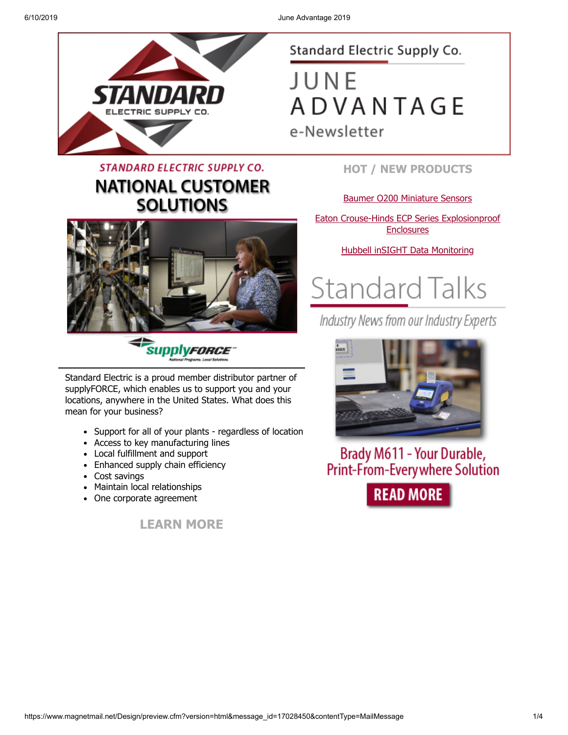

## **STANDARD ELECTRIC SUPPLY CO. NATIONAL CUSTOMER SOLUTIONS**



*SupplyFORCE* 

Standard Electric is a proud member distributor partner of supplyFORCE, which enables us to support you and your locations, anywhere in the United States. What does this mean for your business?

- Support for all of your plants regardless of location
- Access to key manufacturing lines
- Local fulfillment and support
- Enhanced supply chain efficiency
- Cost savings
- Maintain local relationships
- One corporate agreement

**[LEARN MORE](https://www.standardelectricsupply.com/content/national-customer-solutions/?utm_source=Higher%20Logic&utm_medium=INSERT_CHANNEL%20&utm_content=INSERT_RECIPIENT_ID&utm_campaign=INSERT_LINK_ID)**

#### Standard Electric Supply Co.

JUNE **ADVANTAGE** e-Newsletter

#### **HOT / NEW PRODUCTS**

#### [Baumer O200 Miniature Sensors](https://images.magnetmail.net/images/clients/SESC/attach/enewsletter_2019/Baumer_O200_.pdf)

[Eaton Crouse-Hinds ECP Series Explosionproof](https://images.magnetmail.net/images/clients/SESC/attach/enewsletter_2019/Eaton_ECPSeries.pdf) **Enclosures** 

[Hubbell inSIGHT Data Monitoring](https://images.magnetmail.net/images/clients/SESC/attach/enewsletter_2019/inSIGHT_Data_Monitoring.pdf)



Industry News from our Industry Experts



Brady M611 - Your Durable, **Print-From-Every where Solution READ MORE**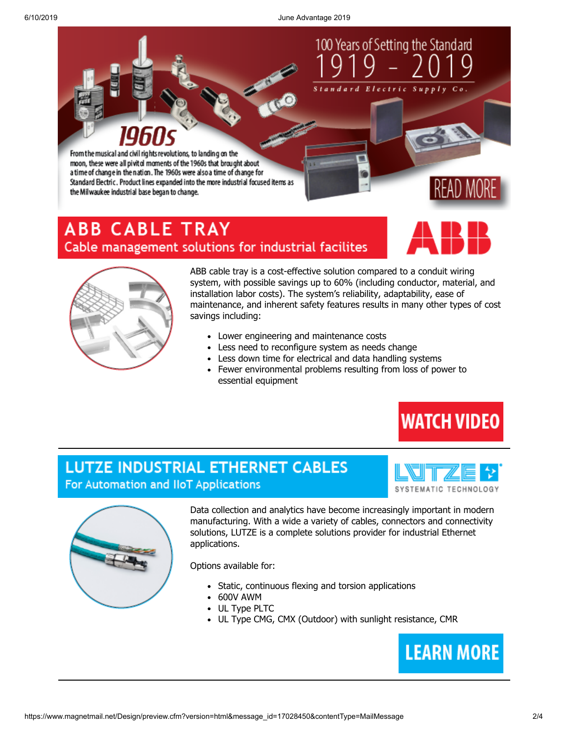6/10/2019 June Advantage 2019

100 Years of Setting the Standard

From the musical and civil rights revolutions, to landing on the moon, these were all pivitel moments of the 1960s that brought about a time of change in the nation. The 1960s were also a time of change for Standard Electric. Product lines expanded into the more industrial focused items as the Milwaukee industrial base began to change.

## **ABB CABLE TRAY** Cable management solutions for industrial facilites





ABB cable tray is a cost-effective solution compared to a conduit wiring system, with possible savings up to 60% (including conductor, material, and installation labor costs). The system's reliability, adaptability, ease of maintenance, and inherent safety features results in many other types of cost savings including:

- Lower engineering and maintenance costs
- Less need to reconfigure system as needs change
- Less down time for electrical and data handling systems
- Fewer environmental problems resulting from loss of power to essential equipment



#### **LUTZE INDUSTRIAL ETHERNET CABLES** For Automation and IIoT Applications





Data collection and analytics have become increasingly important in modern manufacturing. With a wide a variety of cables, connectors and connectivity solutions, LUTZE is a complete solutions provider for industrial Ethernet applications.

Options available for:

- Static, continuous flexing and torsion applications
- 600V AWM
- UL Type PLTC
- UL Type CMG, CMX (Outdoor) with sunlight resistance, CMR

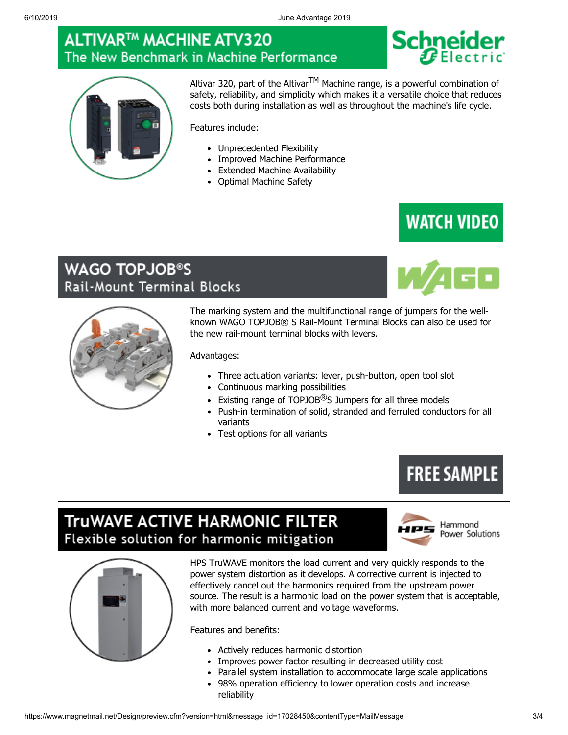### **ALTIVAR™ MACHINE ATV320** The New Benchmark in Machine Performance





Altivar 320, part of the Altivar<sup>TM</sup> Machine range, is a powerful combination of safety, reliability, and simplicity which makes it a versatile choice that reduces costs both during installation as well as throughout the machine's life cycle.

Features include:

- Unprecedented Flexibility
- Improved Machine Performance
- Extended Machine Availability
- Optimal Machine Safety

## **WATCH VIDEO**

#### **WAGO TOPJOB®S** Rail-Mount Terminal Blocks



The marking system and the multifunctional range of jumpers for the wellknown WAGO TOPJOB® S Rail-Mount Terminal Blocks can also be used for the new rail-mount terminal blocks with levers.

Advantages:

- Three actuation variants: lever, push-button, open tool slot
- Continuous marking possibilities
- Existing range of TOPJOB $\textcircled{B}$ S Jumpers for all three models
- Push-in termination of solid, stranded and ferruled conductors for all variants
- Test options for all variants

# **FREE SAMPLE**

## TruWAVE ACTIVE HARMONIC FILTER Flexible solution for harmonic mitigation



Hammond Power Solutions



HPS TruWAVE monitors the load current and very quickly responds to the power system distortion as it develops. A corrective current is injected to effectively cancel out the harmonics required from the upstream power source. The result is a harmonic load on the power system that is acceptable, with more balanced current and voltage waveforms.

Features and benefits:

- Actively reduces harmonic distortion
- Improves power factor resulting in decreased utility cost
- Parallel system installation to accommodate large scale applications
- 98% operation efficiency to lower operation costs and increase reliability